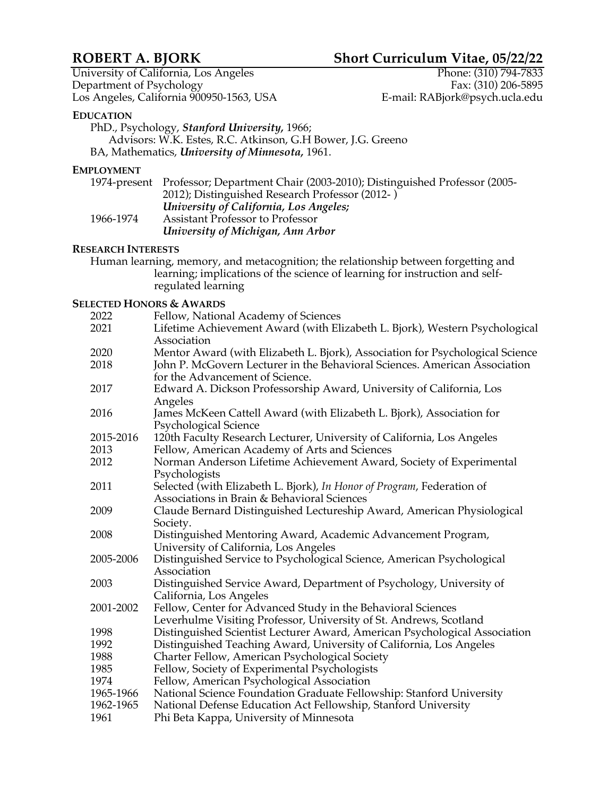# **ROBERT A. BJORK Short Curriculum Vitae, 05/22/22**

University of California, Los Angeles Phone: (310) 794-7833<br>Department of Psychology Fax: (310) 206-5895 Department of Psychology<br>
Los Angeles, California 900950-1563, USA<br>
E-mail: RABjork@psych.ucla.edu Los Angeles, California 900950-1563, USA

# **EDUCATION**

PhD., Psychology, *Stanford University,* 1966; Advisors: W.K. Estes, R.C. Atkinson, G.H Bower, J.G. Greeno BA, Mathematics, *University of Minnesota,* 1961.

# **EMPLOYMENT**

|           | 1974-present Professor; Department Chair (2003-2010); Distinguished Professor (2005- |
|-----------|--------------------------------------------------------------------------------------|
|           | 2012); Distinguished Research Professor (2012-)                                      |
|           | University of California, Los Angeles;                                               |
| 1966-1974 | Assistant Professor to Professor                                                     |
|           | University of Michigan, Ann Arbor                                                    |

# **RESEARCH INTERESTS**

Human learning, memory, and metacognition; the relationship between forgetting and learning; implications of the science of learning for instruction and selfregulated learning

# **SELECTED HONORS & AWARDS**

| 2022      | Fellow, National Academy of Sciences                                                                                               |
|-----------|------------------------------------------------------------------------------------------------------------------------------------|
| 2021      | Lifetime Achievement Award (with Elizabeth L. Bjork), Western Psychological<br>Association                                         |
| 2020      | Mentor Award (with Elizabeth L. Bjork), Association for Psychological Science                                                      |
| 2018      | John P. McGovern Lecturer in the Behavioral Sciences. American Association<br>for the Advancement of Science.                      |
| 2017      | Edward A. Dickson Professorship Award, University of California, Los<br>Angeles                                                    |
| 2016      | James McKeen Cattell Award (with Elizabeth L. Bjork), Association for<br>Psychological Science                                     |
| 2015-2016 | 120th Faculty Research Lecturer, University of California, Los Angeles                                                             |
| 2013      | Fellow, American Academy of Arts and Sciences                                                                                      |
| 2012      | Norman Anderson Lifetime Achievement Award, Society of Experimental<br>Psychologists                                               |
| 2011      | Selected (with Elizabeth L. Bjork), In Honor of Program, Federation of<br>Associations in Brain & Behavioral Sciences              |
| 2009      | Claude Bernard Distinguished Lectureship Award, American Physiological<br>Society.                                                 |
| 2008      | Distinguished Mentoring Award, Academic Advancement Program,<br>University of California, Los Angeles                              |
| 2005-2006 | Distinguished Service to Psychological Science, American Psychological<br>Association                                              |
| 2003      | Distinguished Service Award, Department of Psychology, University of<br>California, Los Angeles                                    |
| 2001-2002 | Fellow, Center for Advanced Study in the Behavioral Sciences<br>Leverhulme Visiting Professor, University of St. Andrews, Scotland |
| 1998      | Distinguished Scientist Lecturer Award, American Psychological Association                                                         |
| 1992      | Distinguished Teaching Award, University of California, Los Angeles                                                                |
| 1988      | Charter Fellow, American Psychological Society                                                                                     |
| 1985      | Fellow, Society of Experimental Psychologists                                                                                      |
| 1974      | Fellow, American Psychological Association                                                                                         |
| 1965-1966 | National Science Foundation Graduate Fellowship: Stanford University                                                               |
| 1962-1965 | National Defense Education Act Fellowship, Stanford University                                                                     |
| 1961      | Phi Beta Kappa, University of Minnesota                                                                                            |
|           |                                                                                                                                    |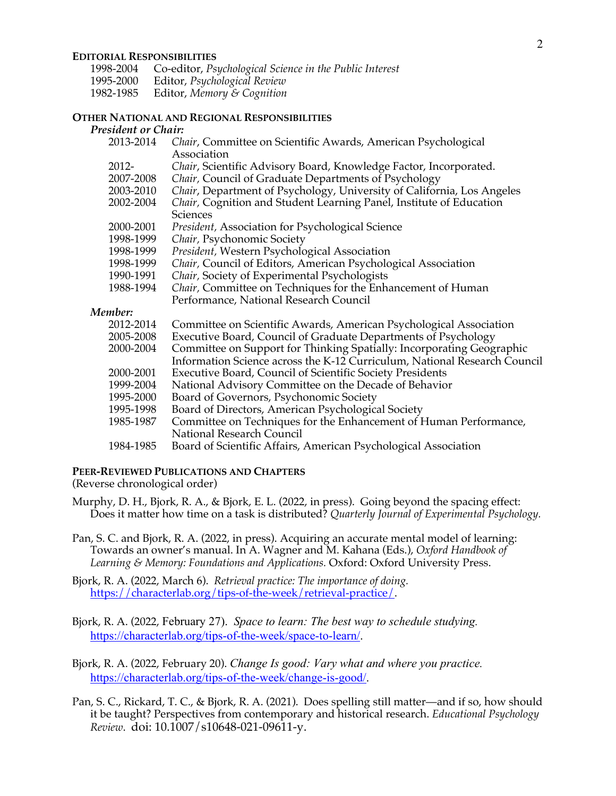#### **EDITORIAL RESPONSIBILITIES**

| 1998-2004 | Co-editor, Psychological Science in the Public Interest |
|-----------|---------------------------------------------------------|
| 1995-2000 | Editor, Psychological Review                            |
| 1982-1985 | Editor, Memory & Cognition                              |

## **OTHER NATIONAL AND REGIONAL RESPONSIBILITIES**

# *President or Chair:*

| 2013-2014 | Chair, Committee on Scientific Awards, American Psychological             |
|-----------|---------------------------------------------------------------------------|
|           | Association                                                               |
| $2012 -$  | Chair, Scientific Advisory Board, Knowledge Factor, Incorporated.         |
| 2007-2008 | Chair, Council of Graduate Departments of Psychology                      |
| 2003-2010 | Chair, Department of Psychology, University of California, Los Angeles    |
| 2002-2004 | Chair, Cognition and Student Learning Panel, Institute of Education       |
|           | Sciences                                                                  |
| 2000-2001 | President, Association for Psychological Science                          |
| 1998-1999 | Chair, Psychonomic Society                                                |
| 1998-1999 | President, Western Psychological Association                              |
| 1998-1999 | Chair, Council of Editors, American Psychological Association             |
| 1990-1991 | Chair, Society of Experimental Psychologists                              |
| 1988-1994 | Chair, Committee on Techniques for the Enhancement of Human               |
|           | Performance, National Research Council                                    |
| Member:   |                                                                           |
| 2012-2014 | Committee on Scientific Awards, American Psychological Association        |
| 2005-2008 | Executive Board, Council of Graduate Departments of Psychology            |
| 2000-2004 | Committee on Support for Thinking Spatially: Incorporating Geographic     |
|           | Information Science across the K-12 Curriculum, National Research Council |
| 2000-2001 | Executive Board, Council of Scientific Society Presidents                 |
| 1999-2004 | National Advisory Committee on the Decade of Behavior                     |
| 1995-2000 | Board of Governors, Psychonomic Society                                   |
| 1995-1998 | Board of Directors, American Psychological Society                        |
| 1985-1987 | Committee on Techniques for the Enhancement of Human Performance,         |
|           | National Research Council                                                 |
| 1984-1985 | Board of Scientific Affairs, American Psychological Association           |

## **PEER-REVIEWED PUBLICATIONS AND CHAPTERS**

(Reverse chronological order)

- Murphy, D. H., Bjork, R. A., & Bjork, E. L. (2022, in press). Going beyond the spacing effect: Does it matter how time on a task is distributed? *Quarterly Journal of Experimental Psychology.*
- Pan, S. C. and Bjork, R. A. (2022, in press). Acquiring an accurate mental model of learning: Towards an owner's manual. In A. Wagner and M. Kahana (Eds.), *Oxford Handbook of Learning & Memory: Foundations and Applications.* Oxford: Oxford University Press.

Bjork, R. A. (2022, March 6). *Retrieval practice: The importance of doing.* https://characterlab.org/tips-of-the-week/retrieval-practice/.

- Bjork, R. A. (2022, February 27). *Space to learn: The best way to schedule studying.* https://characterlab.org/tips-of-the-week/space-to-learn/.
- Bjork, R. A. (2022, February 20). *Change Is good: Vary what and where you practice.* https://characterlab.org/tips-of-the-week/change-is-good/.
- Pan, S. C., Rickard, T. C., & Bjork, R. A. (2021). Does spelling still matter—and if so, how should it be taught? Perspectives from contemporary and historical research. *Educational Psychology Review*. doi: 10.1007/s10648-021-09611-y.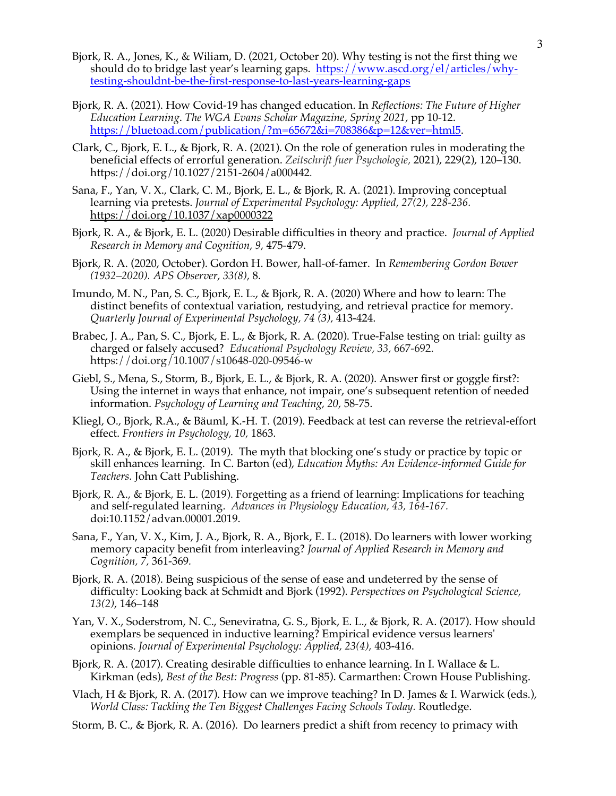- Bjork, R. A., Jones, K., & Wiliam, D. (2021, October 20). Why testing is not the first thing we should do to bridge last year's learning gaps.https://www.ascd.org/el/articles/whytesting-shouldnt-be-the-first-response-to-last-years-learning-gaps
- Bjork, R. A. (2021). How Covid-19 has changed education. In *Reflections: The Future of Higher Education Learning*. *The WGA Evans Scholar Magazine, Spring 2021,* pp 10-12. https://bluetoad.com/publication/?m=65672&i=708386&p=12&ver=html5.
- Clark, C., Bjork, E. L., & Bjork, R. A. (2021). On the role of generation rules in moderating the beneficial effects of errorful generation. *Zeitschrift fuer Psychologie,* 2021), 229(2), 120–130. https://doi.org/10.1027/2151-2604/a000442*.*
- Sana, F., Yan, V. X., Clark, C. M., Bjork, E. L., & Bjork, R. A. (2021). Improving conceptual learning via pretests. *Journal of Experimental Psychology: Applied, 27(2), 228-236.*  https://doi.org/10.1037/xap0000322
- Bjork, R. A., & Bjork, E. L. (2020) Desirable difficulties in theory and practice. *Journal of Applied Research in Memory and Cognition, 9,* 475-479.
- Bjork, R. A. (2020, October). Gordon H. Bower, hall-of-famer. In *Remembering Gordon Bower (1932–2020). APS Observer, 33(8),* 8.
- Imundo, M. N., Pan, S. C., Bjork, E. L., & Bjork, R. A. (2020) Where and how to learn: The distinct benefits of contextual variation, restudying, and retrieval practice for memory. *Quarterly Journal of Experimental Psychology, 74 (3),* 413-424.
- Brabec, J. A., Pan, S. C., Bjork, E. L., & Bjork, R. A. (2020). True-False testing on trial: guilty as charged or falsely accused? *Educational Psychology Review, 33,* 667-692. https://doi.org/10.1007/s10648-020-09546-w
- Giebl, S., Mena, S., Storm, B., Bjork, E. L., & Bjork, R. A. (2020). Answer first or goggle first?: Using the internet in ways that enhance, not impair, one's subsequent retention of needed information. *Psychology of Learning and Teaching, 20,* 58-75.
- Kliegl, O., Bjork, R.A., & Bäuml, K.-H. T. (2019). Feedback at test can reverse the retrieval-effort effect. *Frontiers in Psychology, 10,* 1863.
- Bjork, R. A., & Bjork, E. L. (2019). The myth that blocking one's study or practice by topic or skill enhances learning. In C. Barton (ed), *Education Myths: An Evidence-informed Guide for Teachers.* John Catt Publishing.
- Bjork, R. A., & Bjork, E. L. (2019). Forgetting as a friend of learning: Implications for teaching and self-regulated learning. *Advances in Physiology Education, 43, 164-167.* doi:10.1152/advan.00001.2019.
- Sana, F., Yan, V. X., Kim, J. A., Bjork, R. A., Bjork, E. L. (2018). Do learners with lower working memory capacity benefit from interleaving? *Journal of Applied Research in Memory and Cognition, 7,* 361-369*.*
- Bjork, R. A. (2018). Being suspicious of the sense of ease and undeterred by the sense of difficulty: Looking back at Schmidt and Bjork (1992). *Perspectives on Psychological Science, 13(2),* 146–148
- Yan, V. X., Soderstrom, N. C., Seneviratna, G. S., Bjork, E. L., & Bjork, R. A. (2017). How should exemplars be sequenced in inductive learning? Empirical evidence versus learners' opinions. *Journal of Experimental Psychology: Applied, 23(4),* 403-416.
- Bjork, R. A. (2017). Creating desirable difficulties to enhance learning. In I. Wallace & L. Kirkman (eds), *Best of the Best: Progress* (pp. 81-85). Carmarthen: Crown House Publishing.
- Vlach, H & Bjork, R. A. (2017). How can we improve teaching? In D. James & I. Warwick (eds.), *World Class: Tackling the Ten Biggest Challenges Facing Schools Today.* Routledge.
- Storm, B. C., & Bjork, R. A. (2016). Do learners predict a shift from recency to primacy with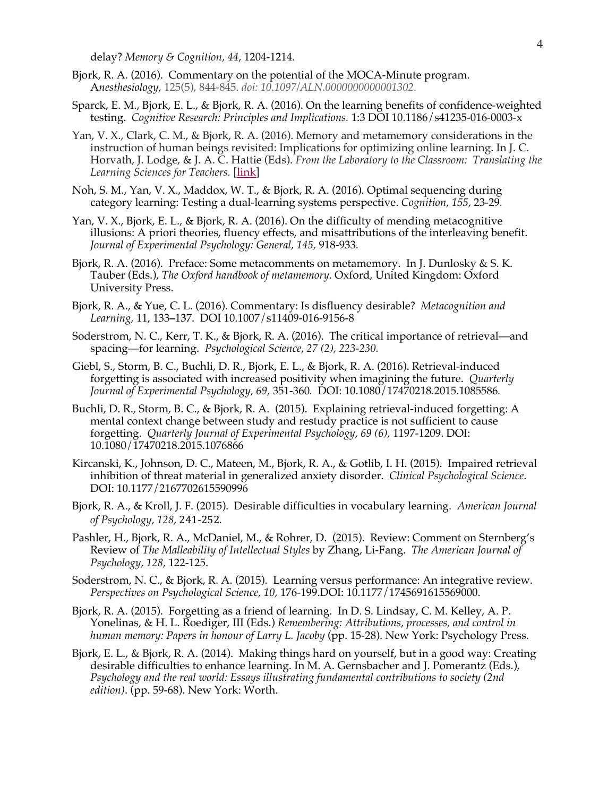delay? *Memory & Cognition, 44*, 1204-1214*.*

- Bjork, R. A. (2016). Commentary on the potential of the MOCA-Minute program. A*nesthesiology,* 125(5), 844-845. *doi: 10.1097/ALN.0000000000001302.*
- Sparck, E. M., Bjork, E. L., & Bjork, R. A. (2016). On the learning benefits of confidence-weighted testing. *Cognitive Research: Principles and Implications.* 1:3 DOI 10.1186/s41235-016-0003-x
- Yan, V. X., Clark, C. M., & Bjork, R. A. (2016). Memory and metamemory considerations in the instruction of human beings revisited: Implications for optimizing online learning. In J. C. Horvath, J. Lodge, & J. A. C. Hattie (Eds). *From the Laboratory to the Classroom: Translating the Learning Sciences for Teachers.* [link]
- Noh, S. M., Yan, V. X., Maddox, W. T., & Bjork, R. A. (2016). Optimal sequencing during category learning: Testing a dual-learning systems perspective. *Cognition, 155,* 23-29*.*
- Yan, V. X., Bjork, E. L., & Bjork, R. A. (2016). On the difficulty of mending metacognitive illusions: A priori theories, fluency effects, and misattributions of the interleaving benefit. *Journal of Experimental Psychology: General, 145,* 918-933*.*
- Bjork, R. A. (2016). Preface: Some metacomments on metamemory. In J. Dunlosky & S. K. Tauber (Eds.), *The Oxford handbook of metamemory*. Oxford, United Kingdom: Oxford University Press.
- Bjork, R. A., & Yue, C. L. (2016). Commentary: Is disfluency desirable? *Metacognition and Learning,* 11, 133**–**137. DOI 10.1007/s11409-016-9156-8
- Soderstrom, N. C., Kerr, T. K., & Bjork, R. A. (2016). The critical importance of retrieval—and spacing—for learning. *Psychological Science, 27 (2), 223-230.*
- Giebl, S., Storm, B. C., Buchli, D. R., Bjork, E. L., & Bjork, R. A. (2016). Retrieval-induced forgetting is associated with increased positivity when imagining the future. *Quarterly Journal of Experimental Psychology, 69,* 351-360*.* DOI: 10.1080/17470218.2015.1085586*.*
- Buchli, D. R., Storm, B. C., & Bjork, R. A. (2015). Explaining retrieval-induced forgetting: A mental context change between study and restudy practice is not sufficient to cause forgetting. *Quarterly Journal of Experimental Psychology, 69 (6),* 1197-1209. DOI: 10.1080/17470218.2015.1076866
- Kircanski, K., Johnson, D. C., Mateen, M., Bjork, R. A., & Gotlib, I. H. (2015). Impaired retrieval inhibition of threat material in generalized anxiety disorder. *Clinical Psychological Science*. DOI: 10.1177/2167702615590996
- Bjork, R. A., & Kroll, J. F. (2015). Desirable difficulties in vocabulary learning. *American Journal of Psychology, 128,* 241-252.
- Pashler, H., Bjork, R. A., McDaniel, M., & Rohrer, D. (2015). Review: Comment on Sternberg's Review of *The Malleability of Intellectual Styles* by Zhang, Li-Fang. *The American Journal of Psychology, 128,* 122-125.
- Soderstrom, N. C., & Bjork, R. A. (2015). Learning versus performance: An integrative review. *Perspectives on Psychological Science, 10,* 176-199.DOI: 10.1177/1745691615569000.
- Bjork, R. A. (2015). Forgetting as a friend of learning. In D. S. Lindsay, C. M. Kelley, A. P. Yonelinas, & H. L. Roediger, III (Eds.) *Remembering: Attributions, processes, and control in human memory: Papers in honour of Larry L. Jacoby* (pp. 15-28). New York: Psychology Press.
- Bjork, E. L., & Bjork, R. A. (2014). Making things hard on yourself, but in a good way: Creating desirable difficulties to enhance learning. In M. A. Gernsbacher and J. Pomerantz (Eds.), *Psychology and the real world: Essays illustrating fundamental contributions to society (2nd edition)*. (pp. 59-68). New York: Worth.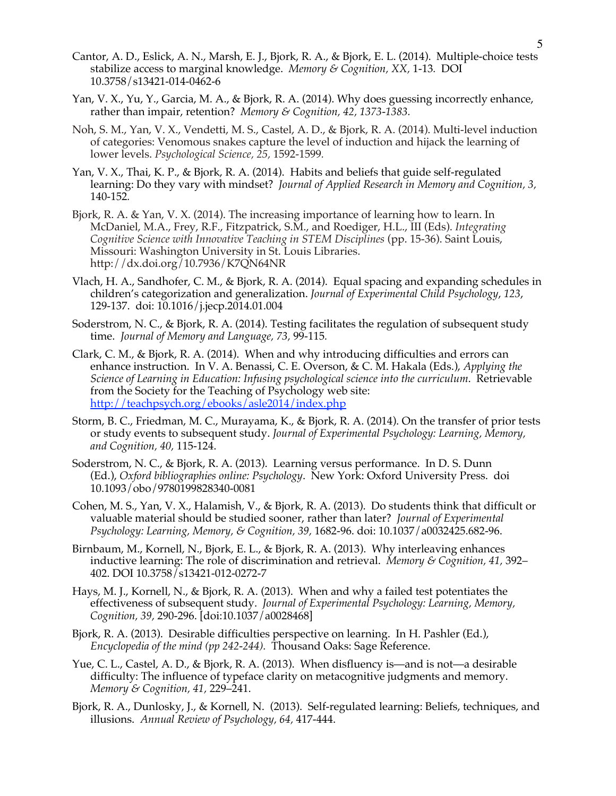- Cantor, A. D., Eslick, A. N., Marsh, E. J., Bjork, R. A., & Bjork, E. L. (2014). Multiple-choice tests stabilize access to marginal knowledge. *Memory & Cognition, XX,* 1-13*.* DOI 10.3758/s13421-014-0462-6
- Yan, V. X., Yu, Y., Garcia, M. A., & Bjork, R. A. (2014). Why does guessing incorrectly enhance, rather than impair, retention? *Memory & Cognition, 42, 1373-1383.*
- Noh, S. M., Yan, V. X., Vendetti, M. S., Castel, A. D., & Bjork, R. A. (2014). Multi-level induction of categories: Venomous snakes capture the level of induction and hijack the learning of lower levels. *Psychological Science, 25,* 1592-1599*.*
- Yan, V. X., Thai, K. P., & Bjork, R. A. (2014). Habits and beliefs that guide self-regulated learning: Do they vary with mindset? *Journal of Applied Research in Memory and Cognition, 3,*  140-152*.*
- Bjork, R. A. & Yan, V. X. (2014). The increasing importance of learning how to learn. In McDaniel, M.A., Frey, R.F., Fitzpatrick, S.M., and Roediger, H.L., III (Eds). *Integrating Cognitive Science with Innovative Teaching in STEM Disciplines* (pp. 15-36). Saint Louis, Missouri: Washington University in St. Louis Libraries. http://dx.doi.org/10.7936/K7QN64NR
- Vlach, H. A., Sandhofer, C. M., & Bjork, R. A. (2014). Equal spacing and expanding schedules in children's categorization and generalization. *Journal of Experimental Child Psychology*, *123*, 129-137. doi: 10.1016/j.jecp.2014.01.004
- Soderstrom, N. C., & Bjork, R. A. (2014). Testing facilitates the regulation of subsequent study time. *Journal of Memory and Language, 73,* 99-115*.*
- Clark, C. M., & Bjork, R. A. (2014). When and why introducing difficulties and errors can enhance instruction. In V. A. Benassi, C. E. Overson, & C. M. Hakala (Eds.), *Applying the Science of Learning in Education: Infusing psychological science into the curriculum*. Retrievable from the Society for the Teaching of Psychology web site: http://teachpsych.org/ebooks/asle2014/index.php
- Storm, B. C., Friedman, M. C., Murayama, K., & Bjork, R. A. (2014). On the transfer of prior tests or study events to subsequent study. *Journal of Experimental Psychology: Learning, Memory, and Cognition, 40,* 115-124.
- Soderstrom, N. C., & Bjork, R. A. (2013). Learning versus performance. In D. S. Dunn (Ed.), *Oxford bibliographies online: Psychology*. New York: Oxford University Press. doi 10.1093/obo/9780199828340-0081
- Cohen, M. S., Yan, V. X., Halamish, V., & Bjork, R. A. (2013). Do students think that difficult or valuable material should be studied sooner, rather than later? *Journal of Experimental Psychology: Learning, Memory, & Cognition, 39,* 1682-96. doi: 10.1037/a0032425.682-96.
- Birnbaum, M., Kornell, N., Bjork, E. L., & Bjork, R. A. (2013). Why interleaving enhances inductive learning: The role of discrimination and retrieval. *Memory & Cognition, 41,* 392– 402. DOI 10.3758/s13421-012-0272-7
- Hays, M. J., Kornell, N., & Bjork, R. A. (2013). When and why a failed test potentiates the effectiveness of subsequent study. *Journal of Experimental Psychology: Learning, Memory, Cognition, 39,* 290-296. [doi:10.1037/a0028468]
- Bjork, R. A. (2013). Desirable difficulties perspective on learning. In H. Pashler (Ed.), *Encyclopedia of the mind (pp 242-244).* Thousand Oaks: Sage Reference.
- Yue, C. L., Castel, A. D., & Bjork, R. A. (2013). When disfluency is—and is not—a desirable difficulty: The influence of typeface clarity on metacognitive judgments and memory. *Memory & Cognition, 41,* 229–241.
- Bjork, R. A., Dunlosky, J., & Kornell, N. (2013). Self-regulated learning: Beliefs, techniques, and illusions. *Annual Review of Psychology, 64,* 417-444.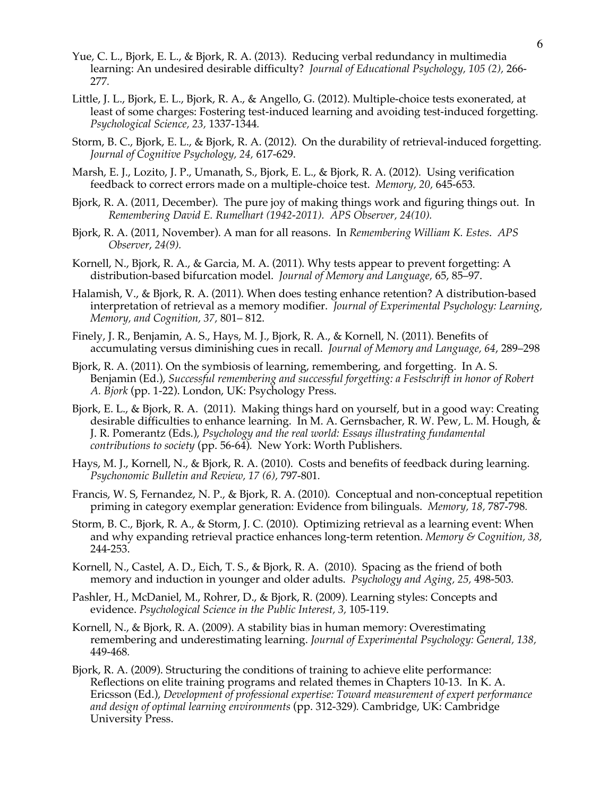- Yue, C. L., Bjork, E. L., & Bjork, R. A. (2013). Reducing verbal redundancy in multimedia learning: An undesired desirable difficulty? *Journal of Educational Psychology, 105 (2),* 266- 277*.*
- Little, J. L., Bjork, E. L., Bjork, R. A., & Angello, G. (2012). Multiple-choice tests exonerated, at least of some charges: Fostering test-induced learning and avoiding test-induced forgetting. *Psychological Science, 23,* 1337-1344*.*
- Storm, B. C., Bjork, E. L., & Bjork, R. A. (2012). On the durability of retrieval-induced forgetting. *Journal of Cognitive Psychology, 24,* 617-629.
- Marsh, E. J., Lozito, J. P., Umanath, S., Bjork, E. L., & Bjork, R. A. (2012). Using verification feedback to correct errors made on a multiple-choice test. *Memory, 20,* 645-653*.*
- Bjork, R. A. (2011, December). The pure joy of making things work and figuring things out. In *Remembering David E. Rumelhart (1942-2011). APS Observer, 24(10).*
- Bjork, R. A. (2011, November). A man for all reasons. In *Remembering William K. Estes*. *APS Observer*, *24(9).*
- Kornell, N., Bjork, R. A., & Garcia, M. A. (2011). Why tests appear to prevent forgetting: A distribution-based bifurcation model. *Journal of Memory and Language,* 65, 85–97.
- Halamish, V., & Bjork, R. A. (2011). When does testing enhance retention? A distribution-based interpretation of retrieval as a memory modifier. *Journal of Experimental Psychology: Learning, Memory, and Cognition, 37,* 801– 812.
- Finely, J. R., Benjamin, A. S., Hays, M. J., Bjork, R. A., & Kornell, N. (2011). Benefits of accumulating versus diminishing cues in recall. *Journal of Memory and Language, 64*, 289–298
- Bjork, R. A. (2011). On the symbiosis of learning, remembering, and forgetting. In A. S. Benjamin (Ed.), *Successful remembering and successful forgetting: a Festschrift in honor of Robert A. Bjork* (pp. 1-22). London, UK: Psychology Press.
- Bjork, E. L., & Bjork, R. A. (2011). Making things hard on yourself, but in a good way: Creating desirable difficulties to enhance learning. In M. A. Gernsbacher, R. W. Pew, L. M. Hough, & J. R. Pomerantz (Eds.), *Psychology and the real world: Essays illustrating fundamental contributions to society* (pp. 56-64)*.* New York: Worth Publishers.
- Hays, M. J., Kornell, N., & Bjork, R. A. (2010). Costs and benefits of feedback during learning. *Psychonomic Bulletin and Review, 17 (6),* 797-801*.*
- Francis, W. S, Fernandez, N. P., & Bjork, R. A. (2010). Conceptual and non-conceptual repetition priming in category exemplar generation: Evidence from bilinguals. *Memory, 18,* 787-798*.*
- Storm, B. C., Bjork, R. A., & Storm, J. C. (2010). Optimizing retrieval as a learning event: When and why expanding retrieval practice enhances long-term retention. *Memory & Cognition, 38,* 244-253.
- Kornell, N., Castel, A. D., Eich, T. S., & Bjork, R. A. (2010). Spacing as the friend of both memory and induction in younger and older adults. *Psychology and Aging, 25,* 498-503*.*
- Pashler, H., McDaniel, M., Rohrer, D., & Bjork, R. (2009). Learning styles: Concepts and evidence. *Psychological Science in the Public Interest, 3,* 105-119.
- Kornell, N., & Bjork, R. A. (2009). A stability bias in human memory: Overestimating remembering and underestimating learning. *Journal of Experimental Psychology: General, 138,*  449-468*.*
- Bjork, R. A. (2009). Structuring the conditions of training to achieve elite performance: Reflections on elite training programs and related themes in Chapters 10-13.In K. A. Ericsson (Ed.), *Development of professional expertise: Toward measurement of expert performance and design of optimal learning environments* (pp. 312-329)*.* Cambridge, UK: Cambridge University Press.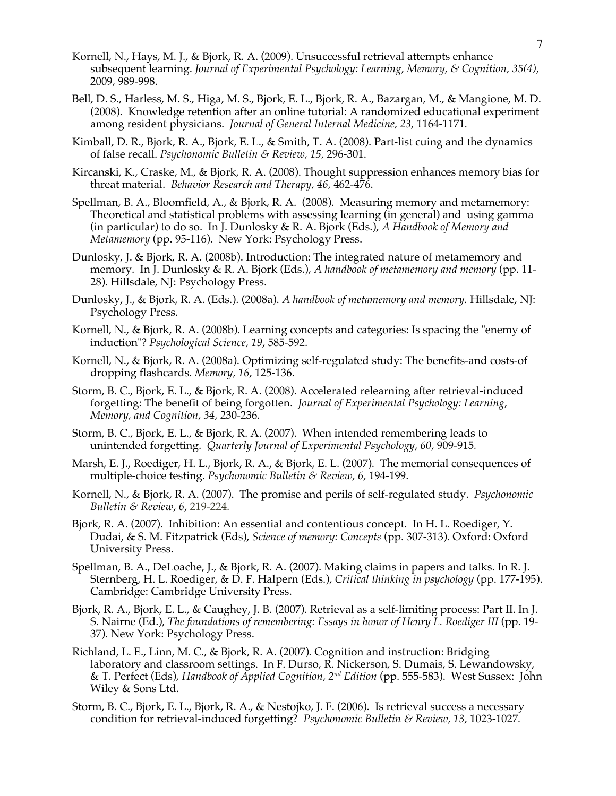- Kornell, N., Hays, M. J., & Bjork, R. A. (2009). Unsuccessful retrieval attempts enhance subsequent learning. *Journal of Experimental Psychology: Learning, Memory, & Cognition, 35(4),* 2009, 989-998.
- Bell, D. S., Harless, M. S., Higa, M. S., Bjork, E. L., Bjork, R. A., Bazargan, M., & Mangione, M. D. (2008). Knowledge retention after an online tutorial: A randomized educational experiment among resident physicians. *Journal of General Internal Medicine, 23,* 1164-1171*.*
- Kimball, D. R., Bjork, R. A., Bjork, E. L., & Smith, T. A. (2008). Part-list cuing and the dynamics of false recall. *Psychonomic Bulletin & Review, 15,* 296-301.
- Kircanski, K., Craske, M., & Bjork, R. A. (2008). Thought suppression enhances memory bias for threat material. *Behavior Research and Therapy, 46,* 462-476.
- Spellman, B. A., Bloomfield, A., & Bjork, R. A. (2008). Measuring memory and metamemory: Theoretical and statistical problems with assessing learning (in general) and using gamma (in particular) to do so. In J. Dunlosky & R. A. Bjork (Eds.), *A Handbook of Memory and Metamemory* (pp. 95-116)*.* New York: Psychology Press.
- Dunlosky, J. & Bjork, R. A. (2008b). Introduction: The integrated nature of metamemory and memory. In J. Dunlosky & R. A. Bjork (Eds.), *A handbook of metamemory and memory* (pp. 11- 28). Hillsdale, NJ: Psychology Press.
- Dunlosky, J., & Bjork, R. A. (Eds.). (2008a). *A handbook of metamemory and memory.* Hillsdale, NJ: Psychology Press.
- Kornell, N., & Bjork, R. A. (2008b). Learning concepts and categories: Is spacing the "enemy of induction"? *Psychological Science, 19*, 585-592.
- Kornell, N., & Bjork, R. A. (2008a). Optimizing self-regulated study: The benefits-and costs-of dropping flashcards. *Memory, 16*, 125-136.
- Storm, B. C., Bjork, E. L., & Bjork, R. A. (2008). Accelerated relearning after retrieval-induced forgetting: The benefit of being forgotten. *Journal of Experimental Psychology: Learning, Memory, and Cognition*, *34,* 230-236.
- Storm, B. C., Bjork, E. L., & Bjork, R. A. (2007). When intended remembering leads to unintended forgetting. *Quarterly Journal of Experimental Psychology, 60,* 909-915*.*
- Marsh, E. J., Roediger, H. L., Bjork, R. A., & Bjork, E. L. (2007). The memorial consequences of multiple-choice testing. *Psychonomic Bulletin & Review, 6,* 194-199.
- Kornell, N., & Bjork, R. A. (2007). The promise and perils of self-regulated study. *Psychonomic Bulletin & Review, 6,* 219-224.
- Bjork, R. A. (2007). Inhibition: An essential and contentious concept. In H. L. Roediger, Y. Dudai, & S. M. Fitzpatrick (Eds), *Science of memory: Concepts* (pp. 307-313). Oxford: Oxford University Press.
- Spellman, B. A., DeLoache, J., & Bjork, R. A. (2007). Making claims in papers and talks. In R. J. Sternberg, H. L. Roediger, & D. F. Halpern (Eds.), *Critical thinking in psychology* (pp. 177-195). Cambridge: Cambridge University Press.
- Bjork, R. A., Bjork, E. L., & Caughey, J. B. (2007). Retrieval as a self-limiting process: Part II. In J. S. Nairne (Ed.), *The foundations of remembering: Essays in honor of Henry L. Roediger III* (pp. 19-37). New York: Psychology Press.
- Richland, L. E., Linn, M. C., & Bjork, R. A. (2007)*.* Cognition and instruction: Bridging laboratory and classroom settings. In F. Durso, R. Nickerson, S. Dumais, S. Lewandowsky, & T. Perfect (Eds), *Handbook of Applied Cognition, 2nd Edition* (pp. 555-583). West Sussex: John Wiley & Sons Ltd.
- Storm, B. C., Bjork, E. L., Bjork, R. A., & Nestojko, J. F. (2006). Is retrieval success a necessary condition for retrieval-induced forgetting? *Psychonomic Bulletin & Review, 13,* 1023-1027*.*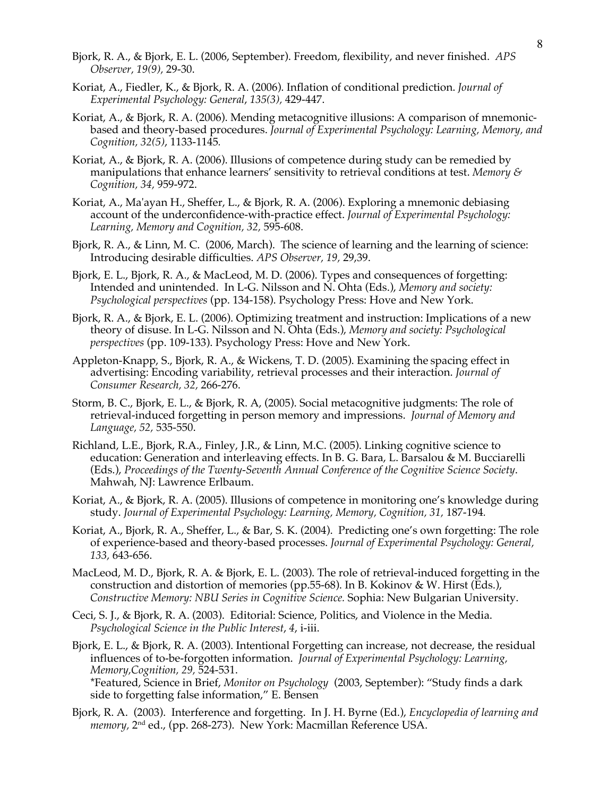- Bjork, R. A., & Bjork, E. L. (2006, September). Freedom, flexibility, and never finished. *APS Observer, 19(9),* 29-30.
- Koriat, A., Fiedler, K., & Bjork, R. A. (2006). Inflation of conditional prediction. *Journal of Experimental Psychology: General*, *135(3),* 429-447.
- Koriat, A., & Bjork, R. A. (2006). Mending metacognitive illusions: A comparison of mnemonicbased and theory-based procedures. *Journal of Experimental Psychology: Learning, Memory, and Cognition, 32(5)*, 1133-1145*.*
- Koriat, A., & Bjork, R. A. (2006). Illusions of competence during study can be remedied by manipulations that enhance learners' sensitivity to retrieval conditions at test. *Memory & Cognition, 34,* 959-972.
- Koriat, A., Ma'ayan H., Sheffer, L., & Bjork, R. A. (2006). Exploring a mnemonic debiasing account of the underconfidence-with-practice effect. *Journal of Experimental Psychology: Learning, Memory and Cognition, 32,* 595-608.
- Bjork, R. A., & Linn, M. C. (2006, March). The science of learning and the learning of science: Introducing desirable difficulties. *APS Observer, 19,* 29,39.
- Bjork, E. L., Bjork, R. A., & MacLeod, M. D. (2006). Types and consequences of forgetting: Intended and unintended. In L-G. Nilsson and N. Ohta (Eds.), *Memory and society: Psychological perspectives* (pp. 134-158). Psychology Press: Hove and New York.
- Bjork, R. A., & Bjork, E. L. (2006). Optimizing treatment and instruction: Implications of a new theory of disuse. In L-G. Nilsson and N. Ohta (Eds.), *Memory and society: Psychological perspectives* (pp. 109-133). Psychology Press: Hove and New York.
- Appleton-Knapp, S., Bjork, R. A., & Wickens, T. D. (2005). Examining the spacing effect in advertising: Encoding variability, retrieval processes and their interaction. *Journal of Consumer Research, 32,* 266-276.
- Storm, B. C., Bjork, E. L., & Bjork, R. A, (2005). Social metacognitive judgments: The role of retrieval-induced forgetting in person memory and impressions. *Journal of Memory and Language, 52,* 535-550.
- Richland, L.E., Bjork, R.A., Finley, J.R., & Linn, M.C. (2005). Linking cognitive science to education: Generation and interleaving effects. In B. G. Bara, L. Barsalou & M. Bucciarelli (Eds.), *Proceedings of the Twenty-Seventh Annual Conference of the Cognitive Science Society*. Mahwah, NJ: Lawrence Erlbaum.
- Koriat, A., & Bjork, R. A. (2005). Illusions of competence in monitoring one's knowledge during study. *Journal of Experimental Psychology: Learning, Memory, Cognition, 31,* 187-194*.*
- Koriat, A., Bjork, R. A., Sheffer, L., & Bar, S. K. (2004). Predicting one's own forgetting: The role of experience-based and theory-based processes. *Journal of Experimental Psychology: General, 133,* 643-656.
- MacLeod, M. D., Bjork, R. A. & Bjork, E. L. (2003). The role of retrieval-induced forgetting in the construction and distortion of memories (pp.55-68). In B. Kokinov & W. Hirst (Eds.), *Constructive Memory: NBU Series in Cognitive Science.* Sophia: New Bulgarian University.
- Ceci, S. J., & Bjork, R. A. (2003). Editorial: Science, Politics, and Violence in the Media. *Psychological Science in the Public Interest*, *4*, i-iii.
- Bjork, E. L., & Bjork, R. A. (2003). Intentional Forgetting can increase, not decrease, the residual influences of to-be-forgotten information. *Journal of Experimental Psychology: Learning, Memory,Cognition, 29,* 524-531.

\*Featured, Science in Brief, *Monitor on Psychology* (2003, September): "Study finds a dark side to forgetting false information," E. Bensen

Bjork, R. A. (2003). Interference and forgetting. In J. H. Byrne (Ed.), *Encyclopedia of learning and memory,* 2nd ed., (pp. 268-273). New York: Macmillan Reference USA.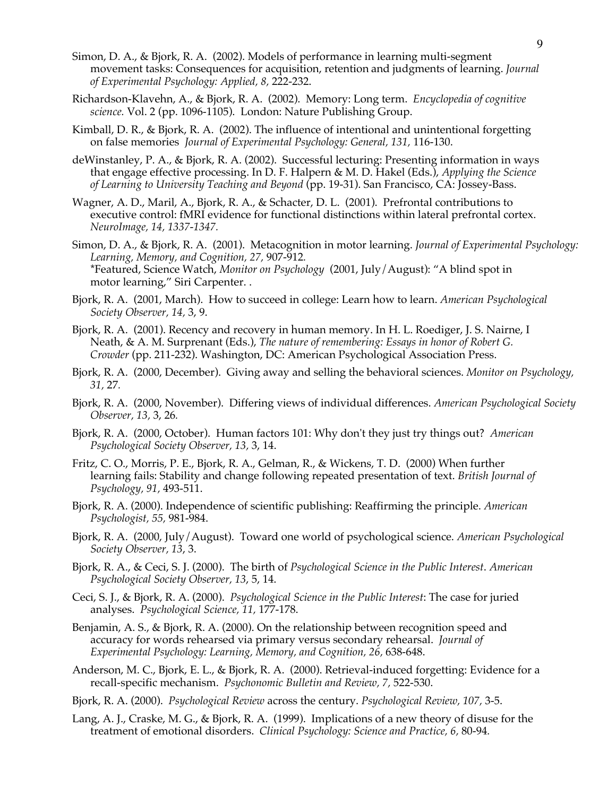- Simon, D. A., & Bjork, R. A. (2002). Models of performance in learning multi-segment movement tasks: Consequences for acquisition, retention and judgments of learning. *Journal of Experimental Psychology: Applied, 8,* 222-232.
- Richardson-Klavehn, A., & Bjork, R. A. (2002). Memory: Long term. *Encyclopedia of cognitive science.* Vol. 2 (pp. 1096-1105). London: Nature Publishing Group.
- Kimball, D. R., & Bjork, R. A. (2002). The influence of intentional and unintentional forgetting on false memories *Journal of Experimental Psychology: General, 131,* 116-130.
- deWinstanley, P. A., & Bjork, R. A. (2002). Successful lecturing: Presenting information in ways that engage effective processing. In D. F. Halpern & M. D. Hakel (Eds.), *Applying the Science of Learning to University Teaching and Beyond* (pp. 19-31). San Francisco, CA: Jossey-Bass.
- Wagner, A. D., Maril, A., Bjork, R. A., & Schacter, D. L. (2001). Prefrontal contributions to executive control: fMRI evidence for functional distinctions within lateral prefrontal cortex. *NeuroImage, 14, 1337-1347.*
- Simon, D. A., & Bjork, R. A. (2001). Metacognition in motor learning. *Journal of Experimental Psychology: Learning, Memory, and Cognition, 27,* 907-912*.* \*Featured, Science Watch, *Monitor on Psychology* (2001, July/August): "A blind spot in motor learning," Siri Carpenter. .
- Bjork, R. A. (2001, March). How to succeed in college: Learn how to learn. *American Psychological Society Observer, 14,* 3, 9.
- Bjork, R. A. (2001). Recency and recovery in human memory. In H. L. Roediger, J. S. Nairne, I Neath, & A. M. Surprenant (Eds.), *The nature of remembering: Essays in honor of Robert G. Crowder* (pp. 211-232). Washington, DC: American Psychological Association Press.
- Bjork, R. A. (2000, December). Giving away and selling the behavioral sciences. *Monitor on Psychology, 31,* 27*.*
- Bjork, R. A. (2000, November). Differing views of individual differences. *American Psychological Society Observer, 13,* 3, 26*.*
- Bjork, R. A. (2000, October). Human factors 101: Why don't they just try things out? *American Psychological Society Observer, 13,* 3, 14.
- Fritz, C. O., Morris, P. E., Bjork, R. A., Gelman, R., & Wickens, T. D. (2000) When further learning fails: Stability and change following repeated presentation of text. *British Journal of Psychology, 91,* 493-511.
- Bjork, R. A. (2000). Independence of scientific publishing: Reaffirming the principle. *American Psychologist, 55,* 981-984.
- Bjork, R. A. (2000, July/August). Toward one world of psychological science. *American Psychological Society Observer, 13*, 3.
- Bjork, R. A., & Ceci, S. J. (2000). The birth of *Psychological Science in the Public Interest*. *American Psychological Society Observer, 13*, 5, 14.
- Ceci, S. J., & Bjork, R. A. (2000). *Psychological Science in the Public Interest*: The case for juried analyses. *Psychological Science, 11,* 177-178.
- Benjamin, A. S., & Bjork, R. A. (2000). On the relationship between recognition speed and accuracy for words rehearsed via primary versus secondary rehearsal. *Journal of Experimental Psychology: Learning, Memory, and Cognition, 26,* 638-648.
- Anderson, M. C., Bjork, E. L., & Bjork, R. A. (2000). Retrieval-induced forgetting: Evidence for a recall-specific mechanism. *Psychonomic Bulletin and Review, 7,* 522-530.
- Bjork, R. A. (2000). *Psychological Review* across the century. *Psychological Review, 107,* 3-5.
- Lang, A. J., Craske, M. G., & Bjork, R. A. (1999). Implications of a new theory of disuse for the treatment of emotional disorders. *Clinical Psychology: Science and Practice, 6,* 80-94*.*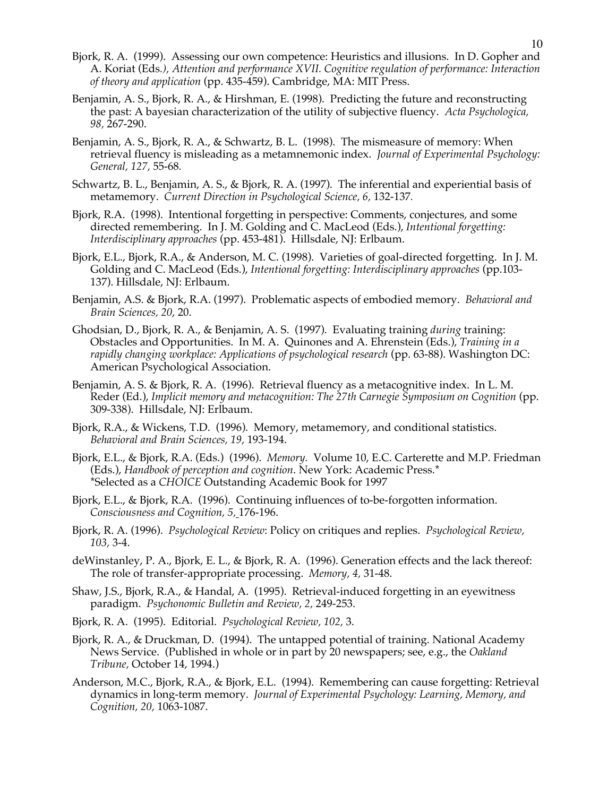- Bjork, R. A. (1999). Assessing our own competence: Heuristics and illusions. In D. Gopher and A. Koriat (Eds*.), Attention and performance XVII. Cognitive regulation of performance: Interaction of theory and application* (pp. 435-459). Cambridge, MA: MIT Press.
- Benjamin, A. S., Bjork, R. A., & Hirshman, E. (1998). Predicting the future and reconstructing the past: A bayesian characterization of the utility of subjective fluency. *Acta Psychologica, 98,* 267-290.
- Benjamin, A. S., Bjork, R. A., & Schwartz, B. L. (1998). The mismeasure of memory: When retrieval fluency is misleading as a metamnemonic index. *Journal of Experimental Psychology: General, 127,* 55-68*.*
- Schwartz, B. L., Benjamin, A. S., & Bjork, R. A. (1997). The inferential and experiential basis of metamemory. *Current Direction in Psychological Science, 6,* 132-137*.*
- Bjork, R.A. (1998). Intentional forgetting in perspective: Comments, conjectures, and some directed remembering. In J. M. Golding and C. MacLeod (Eds.), *Intentional forgetting: Interdisciplinary approaches* (pp. 453-481). Hillsdale, NJ: Erlbaum.
- Bjork, E.L., Bjork, R.A., & Anderson, M. C. (1998). Varieties of goal-directed forgetting. In J. M. Golding and C. MacLeod (Eds.), *Intentional forgetting: Interdisciplinary approaches* (pp.103- 137). Hillsdale, NJ: Erlbaum.
- Benjamin, A.S. & Bjork, R.A. (1997). Problematic aspects of embodied memory. *Behavioral and Brain Sciences, 20*, 20.
- Ghodsian, D., Bjork, R. A., & Benjamin, A. S. (1997). Evaluating training *during* training: Obstacles and Opportunities. In M. A. Quinones and A. Ehrenstein (Eds.), *Training in a rapidly changing workplace: Applications of psychological research* (pp. 63-88). Washington DC: American Psychological Association.
- Benjamin, A. S. & Bjork, R. A. (1996). Retrieval fluency as a metacognitive index. In L. M. Reder (Ed.), *Implicit memory and metacognition: The 27th Carnegie Symposium on Cognition* (pp. 309-338). Hillsdale, NJ: Erlbaum.
- Bjork, R.A., & Wickens, T.D. (1996). Memory, metamemory, and conditional statistics. *Behavioral and Brain Sciences, 19,* 193-194.
- Bjork, E.L., & Bjork, R.A. (Eds.) (1996). *Memory.* Volume 10, E.C. Carterette and M.P. Friedman (Eds.), *Handbook of perception and cognition*. New York: Academic Press.\* \*Selected as a *CHOICE* Outstanding Academic Book for 1997
- Bjork, E.L., & Bjork, R.A. (1996). Continuing influences of to-be-forgotten information. *Consciousness and Cognition, 5,* 176-196.
- Bjork, R. A. (1996). *Psychological Review*: Policy on critiques and replies. *Psychological Review, 103,* 3-4.
- deWinstanley, P. A., Bjork, E. L., & Bjork, R. A. (1996). Generation effects and the lack thereof: The role of transfer-appropriate processing. *Memory, 4,* 31-48.
- Shaw, J.S., Bjork, R.A., & Handal, A. (1995). Retrieval-induced forgetting in an eyewitness paradigm. *Psychonomic Bulletin and Review, 2,* 249-253.
- Bjork, R. A. (1995). Editorial. *Psychological Review, 102,* 3.
- Bjork, R. A., & Druckman, D. (1994). The untapped potential of training. National Academy News Service. (Published in whole or in part by 20 newspapers; see, e.g., the *Oakland Tribune,* October 14, 1994.)
- Anderson, M.C., Bjork, R.A., & Bjork, E.L. (1994). Remembering can cause forgetting: Retrieval dynamics in long-term memory. *Journal of Experimental Psychology: Learning, Memory, and Cognition, 20,* 1063-1087.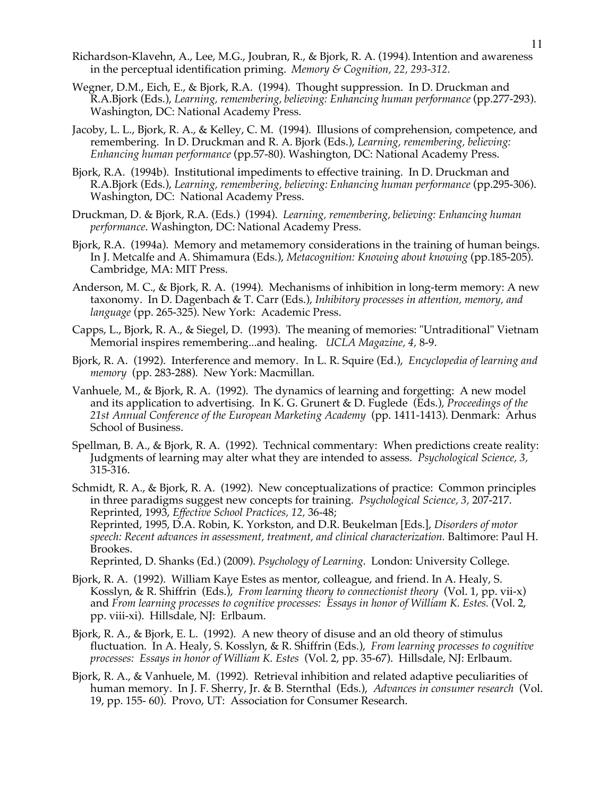- Richardson-Klavehn, A., Lee, M.G., Joubran, R., & Bjork, R. A. (1994). Intention and awareness in the perceptual identification priming. *Memory & Cognition, 22, 293-312.*
- Wegner, D.M., Eich, E., & Bjork, R.A. (1994). Thought suppression. In D. Druckman and R.A.Bjork (Eds.), *Learning, remembering, believing: Enhancing human performance* (pp.277-293). Washington, DC: National Academy Press.
- Jacoby, L. L., Bjork, R. A., & Kelley, C. M. (1994). Illusions of comprehension, competence, and remembering. In D. Druckman and R. A. Bjork (Eds.), *Learning, remembering, believing: Enhancing human performance* (pp.57-80). Washington, DC: National Academy Press.
- Bjork, R.A. (1994b). Institutional impediments to effective training. In D. Druckman and R.A.Bjork (Eds.), *Learning, remembering, believing: Enhancing human performance* (pp.295-306). Washington, DC: National Academy Press.
- Druckman, D. & Bjork, R.A. (Eds.) (1994). *Learning, remembering, believing: Enhancing human performance*. Washington, DC: National Academy Press.
- Bjork, R.A. (1994a). Memory and metamemory considerations in the training of human beings. In J. Metcalfe and A. Shimamura (Eds.), *Metacognition: Knowing about knowing* (pp.185-205). Cambridge, MA: MIT Press.
- Anderson, M. C., & Bjork, R. A. (1994). Mechanisms of inhibition in long-term memory: A new taxonomy. In D. Dagenbach & T. Carr (Eds.), *Inhibitory processes in attention, memory, and language* (pp. 265-325). New York: Academic Press.
- Capps, L., Bjork, R. A., & Siegel, D. (1993). The meaning of memories: "Untraditional" Vietnam Memorial inspires remembering...and healing. *UCLA Magazine, 4,* 8-9.
- Bjork, R. A. (1992). Interference and memory. In L. R. Squire (Ed.), *Encyclopedia of learning and memory* (pp. 283-288). New York: Macmillan.
- Vanhuele, M., & Bjork, R. A. (1992). The dynamics of learning and forgetting: A new model and its application to advertising. In K. G. Grunert & D. Fuglede (Eds.), *Proceedings of the 21st Annual Conference of the European Marketing Academy* (pp. 1411-1413). Denmark: Arhus School of Business.
- Spellman, B. A., & Bjork, R. A. (1992). Technical commentary: When predictions create reality: Judgments of learning may alter what they are intended to assess. *Psychological Science, 3,* 315-316.
- Schmidt, R. A., & Bjork, R. A. (1992). New conceptualizations of practice: Common principles in three paradigms suggest new concepts for training. *Psychological Science, 3,* 207-217. Reprinted, 1993, *Effective School Practices, 12,* 36-48; Reprinted, 1995, D.A. Robin, K. Yorkston, and D.R. Beukelman [Eds.], *Disorders of motor speech: Recent advances in assessment, treatment, and clinical characterization.* Baltimore: Paul H. Brookes. Reprinted, D. Shanks (Ed.) (2009). *Psychology of Learning*. London: University College.
- Bjork, R. A. (1992). William Kaye Estes as mentor, colleague, and friend. In A. Healy, S.
- Kosslyn, & R. Shiffrin (Eds.), *From learning theory to connectionist theory* (Vol. 1, pp. vii-x) and *From learning processes to cognitive processes: Essays in honor of William K. Estes.* (Vol. 2, pp. viii-xi). Hillsdale, NJ: Erlbaum.
- Bjork, R. A., & Bjork, E. L. (1992). A new theory of disuse and an old theory of stimulus fluctuation. In A. Healy, S. Kosslyn, & R. Shiffrin (Eds.), *From learning processes to cognitive processes: Essays in honor of William K. Estes* (Vol. 2, pp. 35-67). Hillsdale, NJ: Erlbaum.
- Bjork, R. A., & Vanhuele, M. (1992). Retrieval inhibition and related adaptive peculiarities of human memory. In J. F. Sherry, Jr. & B. Sternthal (Eds.), *Advances in consumer research* (Vol. 19, pp. 155- 60). Provo, UT: Association for Consumer Research.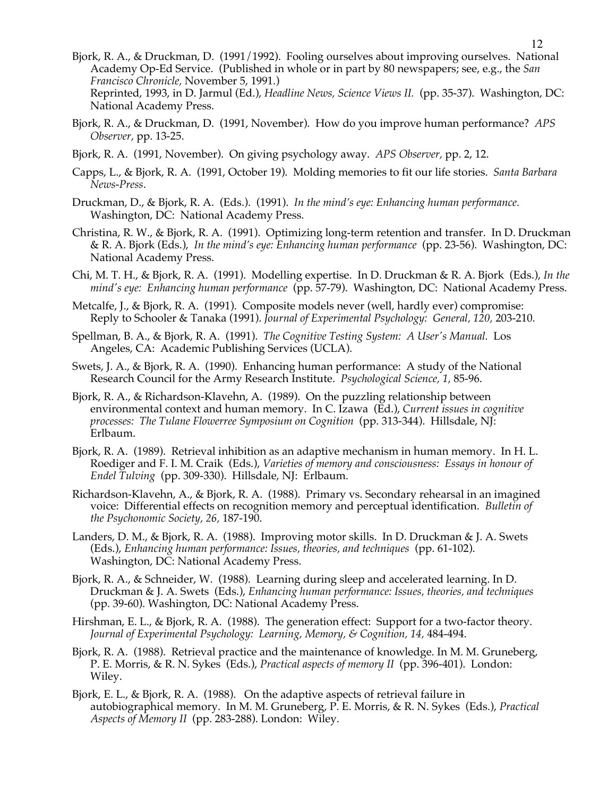- Bjork, R. A., & Druckman, D. (1991/1992). Fooling ourselves about improving ourselves. National Academy Op-Ed Service. (Published in whole or in part by 80 newspapers; see, e.g., the *San Francisco Chronicle,* November 5, 1991.) Reprinted, 1993, in D. Jarmul (Ed.), *Headline News, Science Views II.* (pp. 35-37). Washington, DC: National Academy Press.
- Bjork, R. A., & Druckman, D. (1991, November). How do you improve human performance? *APS Observer,* pp. 13-25.
- Bjork, R. A. (1991, November). On giving psychology away. *APS Observer,* pp. 2, 12.
- Capps, L., & Bjork, R. A. (1991, October 19). Molding memories to fit our life stories. *Santa Barbara News-Press*.
- Druckman, D., & Bjork, R. A. (Eds.). (1991). *In the mind's eye: Enhancing human performance.* Washington, DC: National Academy Press.
- Christina, R. W., & Bjork, R. A. (1991). Optimizing long-term retention and transfer. In D. Druckman & R. A. Bjork (Eds.), *In the mind's eye: Enhancing human performance* (pp. 23-56). Washington, DC: National Academy Press.
- Chi, M. T. H., & Bjork, R. A. (1991). Modelling expertise. In D. Druckman & R. A. Bjork (Eds.), *In the mind's eye: Enhancing human performance* (pp. 57-79). Washington, DC: National Academy Press.
- Metcalfe, J., & Bjork, R. A. (1991). Composite models never (well, hardly ever) compromise: Reply to Schooler & Tanaka (1991). *Journal of Experimental Psychology: General, 120,* 203-210.
- Spellman, B. A., & Bjork, R. A. (1991). *The Cognitive Testing System: A User's Manual.* Los Angeles, CA: Academic Publishing Services (UCLA).
- Swets, J. A., & Bjork, R. A. (1990). Enhancing human performance: A study of the National Research Council for the Army Research Institute. *Psychological Science, 1,* 85-96.
- Bjork, R. A., & Richardson-Klavehn, A. (1989). On the puzzling relationship between environmental context and human memory. In C. Izawa (Ed.), *Current issues in cognitive processes: The Tulane Flowerree Symposium on Cognition* (pp. 313-344). Hillsdale, NJ: Erlbaum.
- Bjork, R. A. (1989). Retrieval inhibition as an adaptive mechanism in human memory. In H. L. Roediger and F. I. M. Craik (Eds.), *Varieties of memory and consciousness: Essays in honour of Endel Tulving* (pp. 309-330). Hillsdale, NJ: Erlbaum.
- Richardson-Klavehn, A., & Bjork, R. A. (1988). Primary vs. Secondary rehearsal in an imagined voice: Differential effects on recognition memory and perceptual identification. *Bulletin of the Psychonomic Society, 26,* 187-190.
- Landers, D. M., & Bjork, R. A. (1988). Improving motor skills. In D. Druckman & J. A. Swets (Eds.), *Enhancing human performance: Issues, theories, and techniques* (pp. 61-102). Washington, DC: National Academy Press.
- Bjork, R. A., & Schneider, W. (1988). Learning during sleep and accelerated learning. In D. Druckman & J. A. Swets (Eds.), *Enhancing human performance: Issues, theories, and techniques* (pp. 39-60). Washington, DC: National Academy Press.
- Hirshman, E. L., & Bjork, R. A. (1988). The generation effect: Support for a two-factor theory. *Journal of Experimental Psychology: Learning, Memory, & Cognition, 14,* 484-494.
- Bjork, R. A. (1988). Retrieval practice and the maintenance of knowledge. In M. M. Gruneberg, P. E. Morris, & R. N. Sykes (Eds.), *Practical aspects of memory II* (pp. 396-401). London: Wiley.
- Bjork, E. L., & Bjork, R. A. (1988). On the adaptive aspects of retrieval failure in autobiographical memory. In M. M. Gruneberg, P. E. Morris, & R. N. Sykes (Eds.), *Practical Aspects of Memory II* (pp. 283-288). London: Wiley.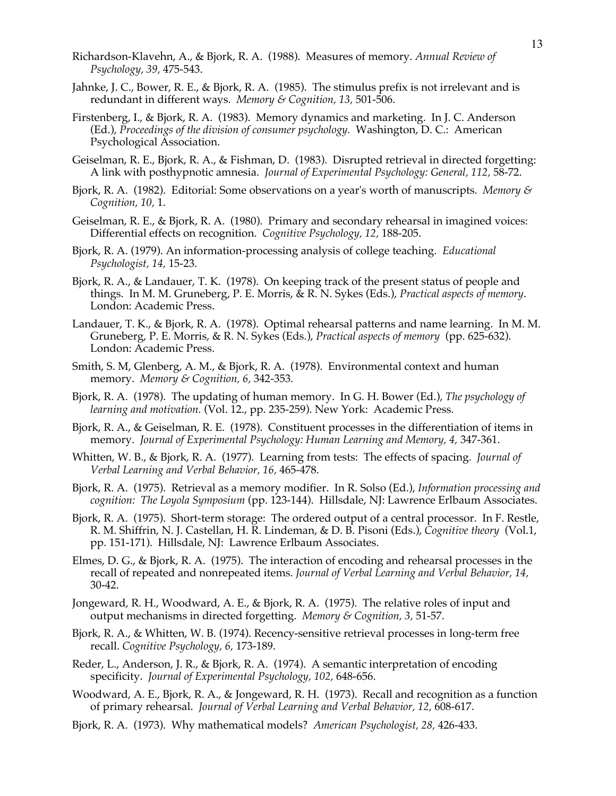- Richardson-Klavehn, A., & Bjork, R. A. (1988). Measures of memory. *Annual Review of Psychology, 39,* 475-543.
- Jahnke, J. C., Bower, R. E., & Bjork, R. A. (1985). The stimulus prefix is not irrelevant and is redundant in different ways. *Memory & Cognition, 13,* 501-506.
- Firstenberg, I., & Bjork, R. A. (1983). Memory dynamics and marketing. In J. C. Anderson (Ed.), *Proceedings of the division of consumer psychology.* Washington, D. C.: American Psychological Association.
- Geiselman, R. E., Bjork, R. A., & Fishman, D. (1983). Disrupted retrieval in directed forgetting: A link with posthypnotic amnesia. *Journal of Experimental Psychology: General, 112,* 58-72.
- Bjork, R. A. (1982). Editorial: Some observations on a year's worth of manuscripts. *Memory & Cognition, 10,* 1.
- Geiselman, R. E., & Bjork, R. A. (1980). Primary and secondary rehearsal in imagined voices: Differential effects on recognition. *Cognitive Psychology, 12,* 188-205.
- Bjork, R. A. (1979). An information-processing analysis of college teaching. *Educational Psychologist, 14,* 15-23.
- Bjork, R. A., & Landauer, T. K. (1978). On keeping track of the present status of people and things. In M. M. Gruneberg, P. E. Morris, & R. N. Sykes (Eds.), *Practical aspects of memory*. London: Academic Press.
- Landauer, T. K., & Bjork, R. A. (1978). Optimal rehearsal patterns and name learning. In M. M. Gruneberg, P. E. Morris, & R. N. Sykes (Eds.), *Practical aspects of memory* (pp. 625-632). London: Academic Press.
- Smith, S. M, Glenberg, A. M., & Bjork, R. A. (1978). Environmental context and human memory. *Memory & Cognition, 6,* 342-353.
- Bjork, R. A. (1978). The updating of human memory. In G. H. Bower (Ed.), *The psychology of learning and motivation.* (Vol. 12., pp. 235-259). New York: Academic Press.
- Bjork, R. A., & Geiselman, R. E. (1978). Constituent processes in the differentiation of items in memory. *Journal of Experimental Psychology: Human Learning and Memory, 4,* 347-361.
- Whitten, W. B., & Bjork, R. A. (1977). Learning from tests: The effects of spacing. *Journal of Verbal Learning and Verbal Behavior, 16,* 465-478.
- Bjork, R. A. (1975). Retrieval as a memory modifier. In R. Solso (Ed.), *Information processing and cognition: The Loyola Symposium* (pp. 123-144). Hillsdale, NJ: Lawrence Erlbaum Associates.
- Bjork, R. A. (1975). Short-term storage: The ordered output of a central processor. In F. Restle, R. M. Shiffrin, N. J. Castellan, H. R. Lindeman, & D. B. Pisoni (Eds.), *Cognitive theory* (Vol.1, pp. 151-171). Hillsdale, NJ: Lawrence Erlbaum Associates.
- Elmes, D. G., & Bjork, R. A. (1975). The interaction of encoding and rehearsal processes in the recall of repeated and nonrepeated items. *Journal of Verbal Learning and Verbal Behavior, 14,* 30-42.
- Jongeward, R. H., Woodward, A. E., & Bjork, R. A. (1975). The relative roles of input and output mechanisms in directed forgetting. *Memory & Cognition, 3,* 51-57.
- Bjork, R. A., & Whitten, W. B. (1974). Recency-sensitive retrieval processes in long-term free recall. *Cognitive Psychology, 6,* 173-189.
- Reder, L., Anderson, J. R., & Bjork, R. A. (1974). A semantic interpretation of encoding specificity. *Journal of Experimental Psychology, 102,* 648-656.
- Woodward, A. E., Bjork, R. A., & Jongeward, R. H. (1973). Recall and recognition as a function of primary rehearsal. *Journal of Verbal Learning and Verbal Behavior, 12,* 608-617.
- Bjork, R. A. (1973). Why mathematical models? *American Psychologist, 28,* 426-433.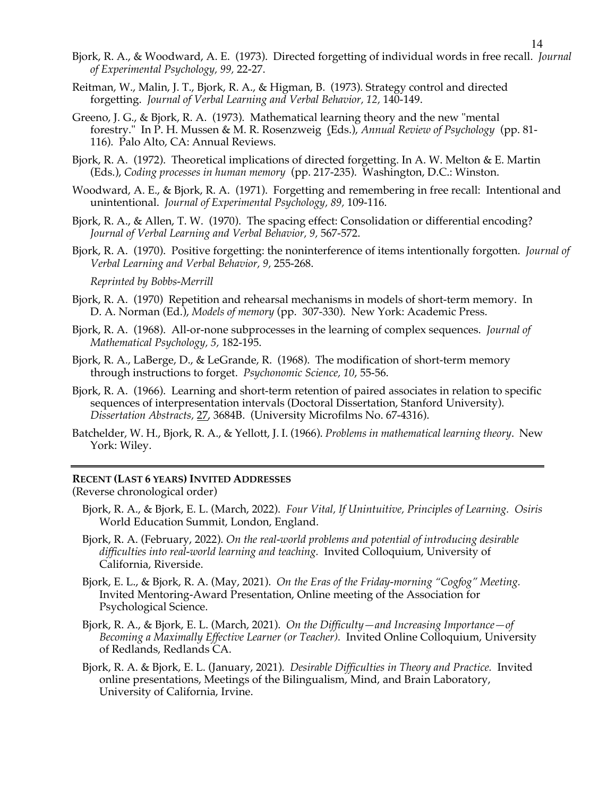Bjork, R. A., & Woodward, A. E. (1973). Directed forgetting of individual words in free recall. *Journal of Experimental Psychology, 99,* 22-27.

14

- Reitman, W., Malin, J. T., Bjork, R. A., & Higman, B. (1973). Strategy control and directed forgetting. *Journal of Verbal Learning and Verbal Behavior, 12,* 140-149.
- Greeno, J. G., & Bjork, R. A. (1973). Mathematical learning theory and the new "mental forestry." In P. H. Mussen & M. R. Rosenzweig (Eds.), *Annual Review of Psychology* (pp. 81- 116). Palo Alto, CA: Annual Reviews.
- Bjork, R. A. (1972). Theoretical implications of directed forgetting. In A. W. Melton & E. Martin (Eds.), *Coding processes in human memory* (pp. 217-235). Washington, D.C.: Winston.
- Woodward, A. E., & Bjork, R. A. (1971). Forgetting and remembering in free recall: Intentional and unintentional. *Journal of Experimental Psychology, 89,* 109-116.
- Bjork, R. A., & Allen, T. W. (1970). The spacing effect: Consolidation or differential encoding? *Journal of Verbal Learning and Verbal Behavior, 9,* 567-572.
- Bjork, R. A. (1970). Positive forgetting: the noninterference of items intentionally forgotten. *Journal of Verbal Learning and Verbal Behavior, 9,* 255-268.

*Reprinted by Bobbs-Merrill*

- Bjork, R. A. (1970) Repetition and rehearsal mechanisms in models of short-term memory. In D. A. Norman (Ed.), *Models of memory* (pp. 307-330). New York: Academic Press.
- Bjork, R. A. (1968). All-or-none subprocesses in the learning of complex sequences. *Journal of Mathematical Psychology, 5,* 182-195.
- Bjork, R. A., LaBerge, D., & LeGrande, R. (1968). The modification of short-term memory through instructions to forget. *Psychonomic Science, 10*, 55-56.
- Bjork, R. A. (1966). Learning and short-term retention of paired associates in relation to specific sequences of interpresentation intervals (Doctoral Dissertation, Stanford University). *Dissertation Abstracts,* 27, 3684B. (University Microfilms No. 67-4316).
- Batchelder, W. H., Bjork, R. A., & Yellott, J. I. (1966). *Problems in mathematical learning theory*. New York: Wiley.

### **RECENT (LAST 6 YEARS) INVITED ADDRESSES**

(Reverse chronological order)

- Bjork, R. A., & Bjork, E. L. (March, 2022). *Four Vital, If Unintuitive, Principles of Learning. Osiris* World Education Summit, London, England.
- Bjork, R. A. (February, 2022). *On the real-world problems and potential of introducing desirable difficulties into real-world learning and teaching.* Invited Colloquium, University of California, Riverside.
- Bjork, E. L., & Bjork, R. A. (May, 2021). *On the Eras of the Friday-morning "Cogfog" Meeting.* Invited Mentoring-Award Presentation, Online meeting of the Association for Psychological Science.
- Bjork, R. A., & Bjork, E. L. (March, 2021). *On the Difficulty—and Increasing Importance—of Becoming a Maximally Effective Learner (or Teacher).* Invited Online Colloquium, University of Redlands, Redlands CA.
- Bjork, R. A. & Bjork, E. L. (January, 2021). *Desirable Difficulties in Theory and Practice.*Invited online presentations, Meetings of the Bilingualism, Mind, and Brain Laboratory, University of California, Irvine.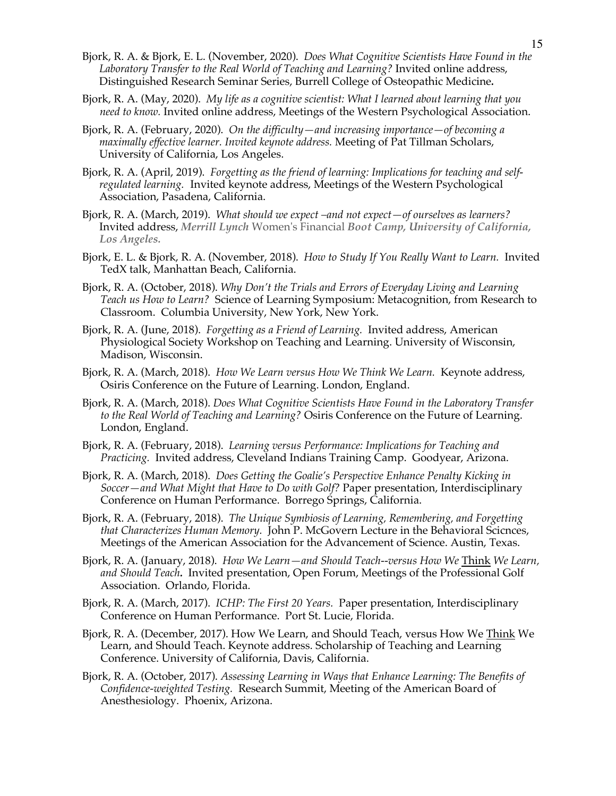- Bjork, R. A. & Bjork, E. L. (November, 2020). *Does What Cognitive Scientists Have Found in the Laboratory Transfer to the Real World of Teaching and Learning?* Invited online address, Distinguished Research Seminar Series, Burrell College of Osteopathic Medicine*.*
- Bjork, R. A. (May, 2020). *My life as a cognitive scientist: What I learned about learning that you need to know.* Invited online address, Meetings of the Western Psychological Association.
- Bjork, R. A. (February, 2020). *On the difficulty—and increasing importance—of becoming a maximally effective learner. Invited keynote address.* Meeting of Pat Tillman Scholars, University of California, Los Angeles.
- Bjork, R. A. (April, 2019). *Forgetting as the friend of learning: Implications for teaching and selfregulated learning.* Invited keynote address, Meetings of the Western Psychological Association, Pasadena, California.
- Bjork, R. A. (March, 2019). *What should we expect –and not expect—of ourselves as learners?*  Invited address, *Merrill Lynch* Women's Financial *Boot Camp, University of California, Los Angeles.*
- Bjork, E. L. & Bjork, R. A. (November, 2018). *How to Study If You Really Want to Learn.* Invited TedX talk, Manhattan Beach, California.
- Bjork, R. A. (October, 2018). *Why Don't the Trials and Errors of Everyday Living and Learning Teach us How to Learn?* Science of Learning Symposium: Metacognition, from Research to Classroom. Columbia University, New York, New York.
- Bjork, R. A. (June, 2018). *Forgetting as a Friend of Learning.* Invited address, American Physiological Society Workshop on Teaching and Learning. University of Wisconsin, Madison, Wisconsin.
- Bjork, R. A. (March, 2018). *How We Learn versus How We Think We Learn.* Keynote address, Osiris Conference on the Future of Learning. London, England.
- Bjork, R. A. (March, 2018). *Does What Cognitive Scientists Have Found in the Laboratory Transfer to the Real World of Teaching and Learning?* Osiris Conference on the Future of Learning. London, England.
- Bjork, R. A. (February, 2018). *Learning versus Performance: Implications for Teaching and Practicing.* Invited address, Cleveland Indians Training Camp. Goodyear, Arizona.
- Bjork, R. A. (March, 2018). *Does Getting the Goalie's Perspective Enhance Penalty Kicking in Soccer—and What Might that Have to Do with Golf?* Paper presentation, Interdisciplinary Conference on Human Performance. Borrego Springs, California.
- Bjork, R. A. (February, 2018). *The Unique Symbiosis of Learning, Remembering, and Forgetting that Characterizes Human Memory.* John P. McGovern Lecture in the Behavioral Scicnces, Meetings of the American Association for the Advancement of Science. Austin, Texas.
- Bjork, R. A. (January, 2018). *How We Learn—and Should Teach--versus How We* Think *We Learn, and Should Teach.* Invited presentation, Open Forum, Meetings of the Professional Golf Association. Orlando, Florida.
- Bjork, R. A. (March, 2017). *ICHP: The First 20 Years.* Paper presentation, Interdisciplinary Conference on Human Performance. Port St. Lucie, Florida.
- Bjork, R. A. (December, 2017). How We Learn, and Should Teach, versus How We Think We Learn, and Should Teach. Keynote address. Scholarship of Teaching and Learning Conference. University of California, Davis, California.
- Bjork, R. A. (October, 2017). *Assessing Learning in Ways that Enhance Learning: The Benefits of Confidence-weighted Testing.* Research Summit, Meeting of the American Board of Anesthesiology. Phoenix, Arizona.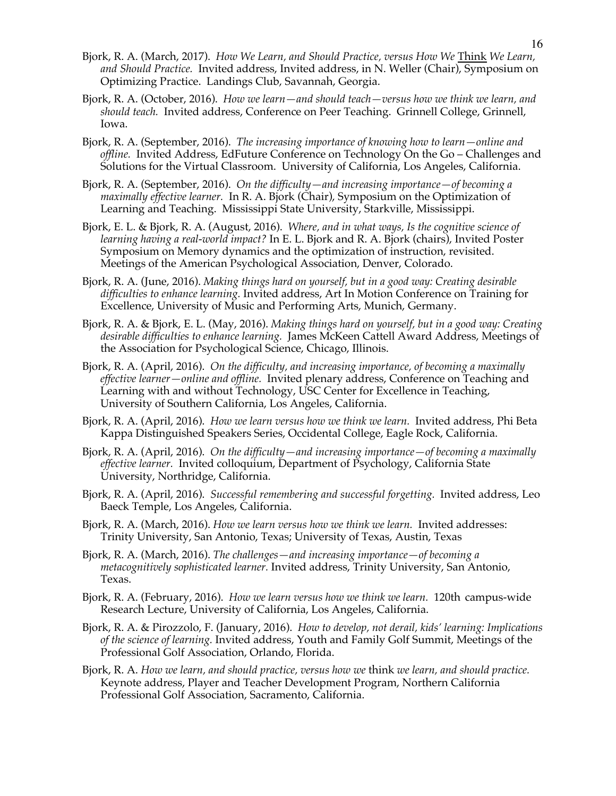- Bjork, R. A. (March, 2017). *How We Learn, and Should Practice, versus How We* Think *We Learn, and Should Practice.* Invited address, Invited address, in N. Weller (Chair), Symposium on Optimizing Practice. Landings Club, Savannah, Georgia.
- Bjork, R. A. (October, 2016). *How we learn—and should teach—versus how we think we learn, and should teach.* Invited address, Conference on Peer Teaching. Grinnell College, Grinnell, Iowa.
- Bjork, R. A. (September, 2016). *The increasing importance of knowing how to learn—online and offline.* Invited Address, EdFuture Conference on Technology On the Go – Challenges and Solutions for the Virtual Classroom. University of California, Los Angeles, California.
- Bjork, R. A. (September, 2016). *On the difficulty—and increasing importance—of becoming a maximally effective learner.* In R. A. Bjork (Chair), Symposium on the Optimization of Learning and Teaching. Mississippi State University, Starkville, Mississippi.
- Bjork, E. L. & Bjork, R. A. (August, 2016). *Where, and in what ways, Is the cognitive science of learning having a real-world impact?* In E. L. Bjork and R. A. Bjork (chairs), Invited Poster Symposium on Memory dynamics and the optimization of instruction, revisited. Meetings of the American Psychological Association, Denver, Colorado.
- Bjork, R. A. (June, 2016). *Making things hard on yourself, but in a good way: Creating desirable difficulties to enhance learning.* Invited address, Art In Motion Conference on Training for Excellence, University of Music and Performing Arts, Munich, Germany.
- Bjork, R. A. & Bjork, E. L. (May, 2016). *Making things hard on yourself, but in a good way: Creating desirable difficulties to enhance learning.* James McKeen Cattell Award Address, Meetings of the Association for Psychological Science, Chicago, Illinois.
- Bjork, R. A. (April, 2016). *On the difficulty, and increasing importance, of becoming a maximally effective learner—online and offline.* Invited plenary address, Conference on Teaching and Learning with and without Technology, USC Center for Excellence in Teaching, University of Southern California, Los Angeles, California.
- Bjork, R. A. (April, 2016). *How we learn versus how we think we learn.* Invited address, Phi Beta Kappa Distinguished Speakers Series, Occidental College, Eagle Rock, California.
- Bjork, R. A. (April, 2016). *On the difficulty—and increasing importance—of becoming a maximally effective learner.* Invited colloquium, Department of Psychology, California State University, Northridge, California.
- Bjork, R. A. (April, 2016). *Successful remembering and successful forgetting.* Invited address, Leo Baeck Temple, Los Angeles, California.
- Bjork, R. A. (March, 2016). *How we learn versus how we think we learn.* Invited addresses: Trinity University, San Antonio, Texas; University of Texas, Austin, Texas
- Bjork, R. A. (March, 2016). *The challenges—and increasing importance—of becoming a metacognitively sophisticated learner.* Invited address, Trinity University, San Antonio, Texas.
- Bjork, R. A. (February, 2016). *How we learn versus how we think we learn.* 120th campus-wide Research Lecture, University of California, Los Angeles, California.
- Bjork, R. A. & Pirozzolo, F. (January, 2016). *How to develop, not derail, kids' learning: Implications of the science of learning.* Invited address, Youth and Family Golf Summit, Meetings of the Professional Golf Association, Orlando, Florida.
- Bjork, R. A. *How we learn, and should practice, versus how we* think *we learn, and should practice.*  Keynote address, Player and Teacher Development Program, Northern California Professional Golf Association, Sacramento, California.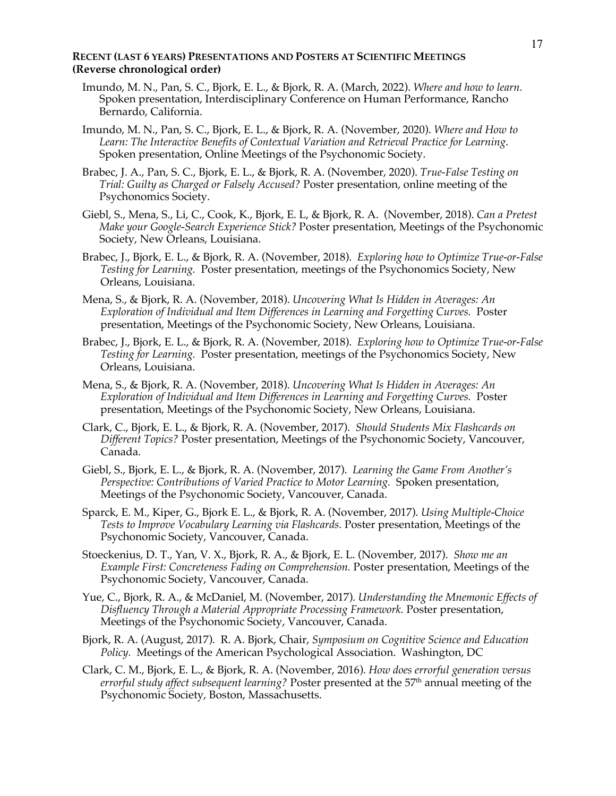## **RECENT (LAST 6 YEARS) PRESENTATIONS AND POSTERS AT SCIENTIFIC MEETINGS (Reverse chronological order)**

- Imundo, M. N., Pan, S. C., Bjork, E. L., & Bjork, R. A. (March, 2022). *Where and how to learn.*  Spoken presentation, Interdisciplinary Conference on Human Performance, Rancho Bernardo, California.
- Imundo, M. N., Pan, S. C., Bjork, E. L., & Bjork, R. A. (November, 2020). *Where and How to Learn: The Interactive Benefits of Contextual Variation and Retrieval Practice for Learning*. Spoken presentation, Online Meetings of the Psychonomic Society.
- Brabec, J. A., Pan, S. C., Bjork, E. L., & Bjork, R. A. (November, 2020). *True-False Testing on Trial: Guilty as Charged or Falsely Accused?* Poster presentation, online meeting of the Psychonomics Society.
- Giebl, S., Mena, S., Li, C., Cook, K., Bjork, E. L, & Bjork, R. A. (November, 2018). *Can a Pretest Make your Google-Search Experience Stick?* Poster presentation, Meetings of the Psychonomic Society, New Orleans, Louisiana.
- Brabec, J., Bjork, E. L., & Bjork, R. A. (November, 2018). *Exploring how to Optimize True-or-False Testing for Learning.* Poster presentation, meetings of the Psychonomics Society, New Orleans, Louisiana.
- Mena, S., & Bjork, R. A. (November, 2018). *Uncovering What Is Hidden in Averages: An Exploration of Individual and Item Differences in Learning and Forgetting Curves.* Poster presentation, Meetings of the Psychonomic Society, New Orleans, Louisiana.
- Brabec, J., Bjork, E. L., & Bjork, R. A. (November, 2018). *Exploring how to Optimize True-or-False Testing for Learning.* Poster presentation, meetings of the Psychonomics Society, New Orleans, Louisiana.
- Mena, S., & Bjork, R. A. (November, 2018). *Uncovering What Is Hidden in Averages: An Exploration of Individual and Item Differences in Learning and Forgetting Curves.* Poster presentation, Meetings of the Psychonomic Society, New Orleans, Louisiana.
- Clark, C., Bjork, E. L., & Bjork, R. A. (November, 2017). *Should Students Mix Flashcards on Different Topics?* Poster presentation, Meetings of the Psychonomic Society, Vancouver, Canada.
- Giebl, S., Bjork, E. L., & Bjork, R. A. (November, 2017).*Learning the Game From Another's Perspective: Contributions of Varied Practice to Motor Learning.* Spoken presentation, Meetings of the Psychonomic Society, Vancouver, Canada.
- Sparck, E. M., Kiper, G., Bjork E. L., & Bjork, R. A. (November, 2017). *Using Multiple-Choice Tests to Improve Vocabulary Learning via Flashcards.* Poster presentation, Meetings of the Psychonomic Society, Vancouver, Canada.
- Stoeckenius, D. T., Yan, V. X., Bjork, R. A., & Bjork, E. L. (November, 2017). *Show me an Example First: Concreteness Fading on Comprehension.* Poster presentation, Meetings of the Psychonomic Society, Vancouver, Canada.
- Yue, C., Bjork, R. A., & McDaniel, M. (November, 2017). *Understanding the Mnemonic Effects of Disfluency Through a Material Appropriate Processing Framework.* Poster presentation, Meetings of the Psychonomic Society, Vancouver, Canada.
- Bjork, R. A. (August, 2017). R. A. Bjork, Chair, *Symposium on Cognitive Science and Education Policy.*Meetings of the American Psychological Association. Washington, DC
- Clark, C. M., Bjork, E. L., & Bjork, R. A. (November, 2016). *How does errorful generation versus errorful study affect subsequent learning?* Poster presented at the 57<sup>th</sup> annual meeting of the Psychonomic Society, Boston, Massachusetts.